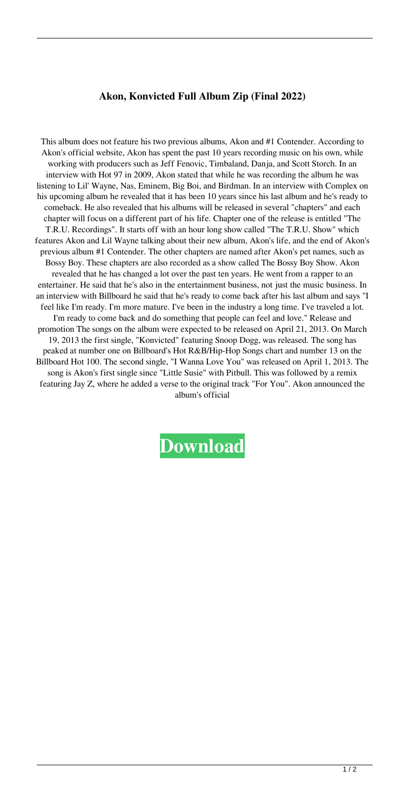## **Akon, Konvicted Full Album Zip (Final 2022)**

This album does not feature his two previous albums, Akon and #1 Contender. According to Akon's official website, Akon has spent the past 10 years recording music on his own, while working with producers such as Jeff Fenovic, Timbaland, Danja, and Scott Storch. In an interview with Hot 97 in 2009, Akon stated that while he was recording the album he was listening to Lil' Wayne, Nas, Eminem, Big Boi, and Birdman. In an interview with Complex on his upcoming album he revealed that it has been 10 years since his last album and he's ready to comeback. He also revealed that his albums will be released in several "chapters" and each chapter will focus on a different part of his life. Chapter one of the release is entitled "The T.R.U. Recordings". It starts off with an hour long show called "The T.R.U. Show" which features Akon and Lil Wayne talking about their new album, Akon's life, and the end of Akon's previous album #1 Contender. The other chapters are named after Akon's pet names, such as Bossy Boy. These chapters are also recorded as a show called The Bossy Boy Show. Akon revealed that he has changed a lot over the past ten years. He went from a rapper to an entertainer. He said that he's also in the entertainment business, not just the music business. In an interview with Billboard he said that he's ready to come back after his last album and says "I feel like I'm ready. I'm more mature. I've been in the industry a long time. I've traveled a lot. I'm ready to come back and do something that people can feel and love." Release and promotion The songs on the album were expected to be released on April 21, 2013. On March 19, 2013 the first single, "Konvicted" featuring Snoop Dogg, was released. The song has peaked at number one on Billboard's Hot R&B/Hip-Hop Songs chart and number 13 on the Billboard Hot 100. The second single, "I Wanna Love You" was released on April 1, 2013. The song is Akon's first single since "Little Susie" with Pitbull. This was followed by a remix featuring Jay Z, where he added a verse to the original track "For You". Akon announced the album's official